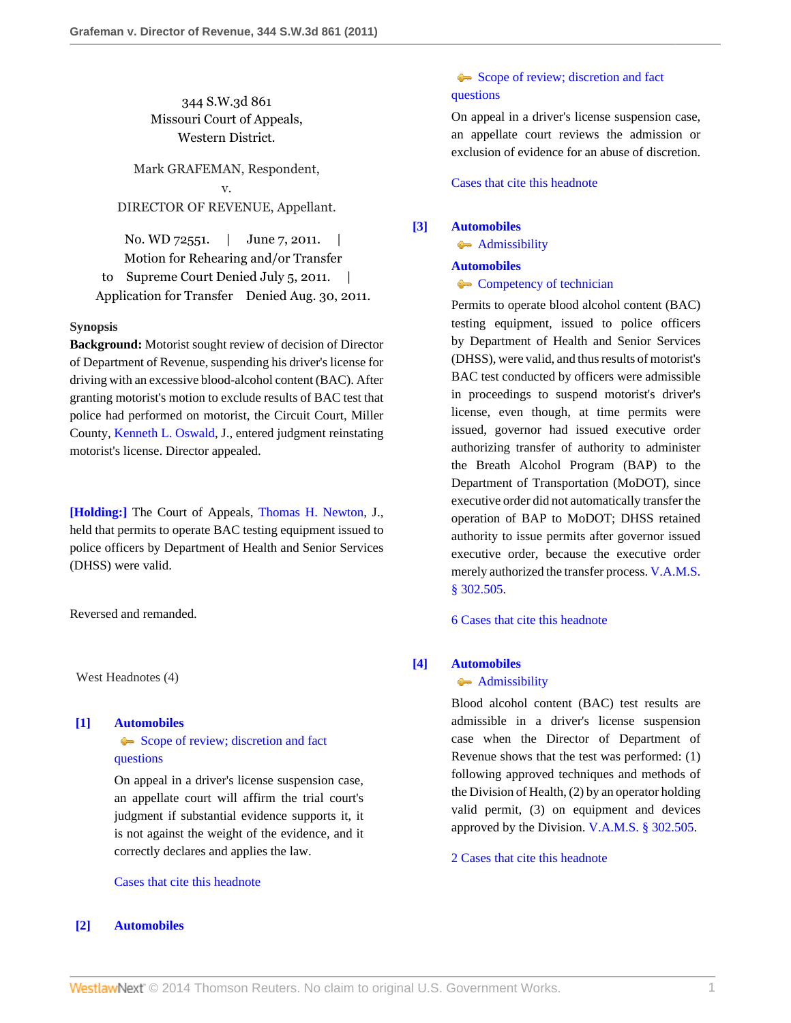344 S.W.3d 861 Missouri Court of Appeals, Western District.

Mark GRAFEMAN, Respondent, v. DIRECTOR OF REVENUE, Appellant.

No. WD 72551. | June 7, 2011. | Motion for Rehearing and/or Transfer to Supreme Court Denied July 5, 2011. Application for Transfer Denied Aug. 30, 2011.

## **Synopsis**

**Background:** Motorist sought review of decision of Director of Department of Revenue, suspending his driver's license for driving with an excessive blood-alcohol content (BAC). After granting motorist's motion to exclude results of BAC test that police had performed on motorist, the Circuit Court, Miller County, [Kenneth L. Oswald](http://www.westlaw.com/Link/Document/FullText?findType=h&pubNum=176284&cite=0292553001&originatingDoc=I570ed5d890e711e0a34df17ea74c323f&refType=RQ&originationContext=document&vr=3.0&rs=cblt1.0&transitionType=DocumentItem&contextData=(sc.Search)), J., entered judgment reinstating motorist's license. Director appealed.

**[\[Holding:\]](#page-0-0)** The Court of Appeals, [Thomas H. Newton,](http://www.westlaw.com/Link/Document/FullText?findType=h&pubNum=176284&cite=0155962901&originatingDoc=I570ed5d890e711e0a34df17ea74c323f&refType=RQ&originationContext=document&vr=3.0&rs=cblt1.0&transitionType=DocumentItem&contextData=(sc.Search)) J., held that permits to operate BAC testing equipment issued to police officers by Department of Health and Senior Services (DHSS) were valid.

Reversed and remanded.

West Headnotes (4)

# <span id="page-0-1"></span>**[\[1\]](#page-1-0) [Automobiles](http://www.westlaw.com/Browse/Home/KeyNumber/48A/View.html?docGuid=I570ed5d890e711e0a34df17ea74c323f&originationContext=document&vr=3.0&rs=cblt1.0&transitionType=DocumentItem&contextData=(sc.Search))**

[Scope of review; discretion and fact](http://www.westlaw.com/Browse/Home/KeyNumber/48Ak144.2(3)/View.html?docGuid=I570ed5d890e711e0a34df17ea74c323f&originationContext=document&vr=3.0&rs=cblt1.0&transitionType=DocumentItem&contextData=(sc.Search)) [questions](http://www.westlaw.com/Browse/Home/KeyNumber/48Ak144.2(3)/View.html?docGuid=I570ed5d890e711e0a34df17ea74c323f&originationContext=document&vr=3.0&rs=cblt1.0&transitionType=DocumentItem&contextData=(sc.Search))

On appeal in a driver's license suspension case, an appellate court will affirm the trial court's judgment if substantial evidence supports it, it is not against the weight of the evidence, and it correctly declares and applies the law.

## [Cases that cite this headnote](http://www.westlaw.com/Link/RelatedInformation/DocHeadnoteLink?docGuid=I570ed5d890e711e0a34df17ea74c323f&headnoteId=202541197000120140123044044&originationContext=document&vr=3.0&rs=cblt1.0&transitionType=CitingReferences&contextData=(sc.Search))

# <span id="page-0-2"></span>**[\[2\]](#page-1-1) [Automobiles](http://www.westlaw.com/Browse/Home/KeyNumber/48A/View.html?docGuid=I570ed5d890e711e0a34df17ea74c323f&originationContext=document&vr=3.0&rs=cblt1.0&transitionType=DocumentItem&contextData=(sc.Search))**

# [Scope of review; discretion and fact](http://www.westlaw.com/Browse/Home/KeyNumber/48Ak144.2(3)/View.html?docGuid=I570ed5d890e711e0a34df17ea74c323f&originationContext=document&vr=3.0&rs=cblt1.0&transitionType=DocumentItem&contextData=(sc.Search)) [questions](http://www.westlaw.com/Browse/Home/KeyNumber/48Ak144.2(3)/View.html?docGuid=I570ed5d890e711e0a34df17ea74c323f&originationContext=document&vr=3.0&rs=cblt1.0&transitionType=DocumentItem&contextData=(sc.Search))

On appeal in a driver's license suspension case, an appellate court reviews the admission or exclusion of evidence for an abuse of discretion.

[Cases that cite this headnote](http://www.westlaw.com/Link/RelatedInformation/DocHeadnoteLink?docGuid=I570ed5d890e711e0a34df17ea74c323f&headnoteId=202541197000220140123044044&originationContext=document&vr=3.0&rs=cblt1.0&transitionType=CitingReferences&contextData=(sc.Search))

# <span id="page-0-0"></span>**[\[3\]](#page-1-2) [Automobiles](http://www.westlaw.com/Browse/Home/KeyNumber/48A/View.html?docGuid=I570ed5d890e711e0a34df17ea74c323f&originationContext=document&vr=3.0&rs=cblt1.0&transitionType=DocumentItem&contextData=(sc.Search))**

[Admissibility](http://www.westlaw.com/Browse/Home/KeyNumber/48Ak144.2(9.7)/View.html?docGuid=I570ed5d890e711e0a34df17ea74c323f&originationContext=document&vr=3.0&rs=cblt1.0&transitionType=DocumentItem&contextData=(sc.Search))

### **[Automobiles](http://www.westlaw.com/Browse/Home/KeyNumber/48A/View.html?docGuid=I570ed5d890e711e0a34df17ea74c323f&originationContext=document&vr=3.0&rs=cblt1.0&transitionType=DocumentItem&contextData=(sc.Search))**

**[Competency of technician](http://www.westlaw.com/Browse/Home/KeyNumber/48Ak423/View.html?docGuid=I570ed5d890e711e0a34df17ea74c323f&originationContext=document&vr=3.0&rs=cblt1.0&transitionType=DocumentItem&contextData=(sc.Search))** 

Permits to operate blood alcohol content (BAC) testing equipment, issued to police officers by Department of Health and Senior Services (DHSS), were valid, and thus results of motorist's BAC test conducted by officers were admissible in proceedings to suspend motorist's driver's license, even though, at time permits were issued, governor had issued executive order authorizing transfer of authority to administer the Breath Alcohol Program (BAP) to the Department of Transportation (MoDOT), since executive order did not automatically transfer the operation of BAP to MoDOT; DHSS retained authority to issue permits after governor issued executive order, because the executive order merely authorized the transfer process. [V.A.M.S.](http://www.westlaw.com/Link/Document/FullText?findType=L&pubNum=1000229&cite=MOST302.505&originatingDoc=I570ed5d890e711e0a34df17ea74c323f&refType=LQ&originationContext=document&vr=3.0&rs=cblt1.0&transitionType=DocumentItem&contextData=(sc.Search)) [§ 302.505.](http://www.westlaw.com/Link/Document/FullText?findType=L&pubNum=1000229&cite=MOST302.505&originatingDoc=I570ed5d890e711e0a34df17ea74c323f&refType=LQ&originationContext=document&vr=3.0&rs=cblt1.0&transitionType=DocumentItem&contextData=(sc.Search))

[6 Cases that cite this headnote](http://www.westlaw.com/Link/RelatedInformation/DocHeadnoteLink?docGuid=I570ed5d890e711e0a34df17ea74c323f&headnoteId=202541197000320140123044044&originationContext=document&vr=3.0&rs=cblt1.0&transitionType=CitingReferences&contextData=(sc.Search))

## <span id="page-0-3"></span>**[\[4\]](#page-1-3) [Automobiles](http://www.westlaw.com/Browse/Home/KeyNumber/48A/View.html?docGuid=I570ed5d890e711e0a34df17ea74c323f&originationContext=document&vr=3.0&rs=cblt1.0&transitionType=DocumentItem&contextData=(sc.Search))**

### **[Admissibility](http://www.westlaw.com/Browse/Home/KeyNumber/48Ak144.2(9.7)/View.html?docGuid=I570ed5d890e711e0a34df17ea74c323f&originationContext=document&vr=3.0&rs=cblt1.0&transitionType=DocumentItem&contextData=(sc.Search))**

Blood alcohol content (BAC) test results are admissible in a driver's license suspension case when the Director of Department of Revenue shows that the test was performed: (1) following approved techniques and methods of the Division of Health, (2) by an operator holding valid permit, (3) on equipment and devices approved by the Division. [V.A.M.S. § 302.505](http://www.westlaw.com/Link/Document/FullText?findType=L&pubNum=1000229&cite=MOST302.505&originatingDoc=I570ed5d890e711e0a34df17ea74c323f&refType=LQ&originationContext=document&vr=3.0&rs=cblt1.0&transitionType=DocumentItem&contextData=(sc.Search)).

[2 Cases that cite this headnote](http://www.westlaw.com/Link/RelatedInformation/DocHeadnoteLink?docGuid=I570ed5d890e711e0a34df17ea74c323f&headnoteId=202541197000420140123044044&originationContext=document&vr=3.0&rs=cblt1.0&transitionType=CitingReferences&contextData=(sc.Search))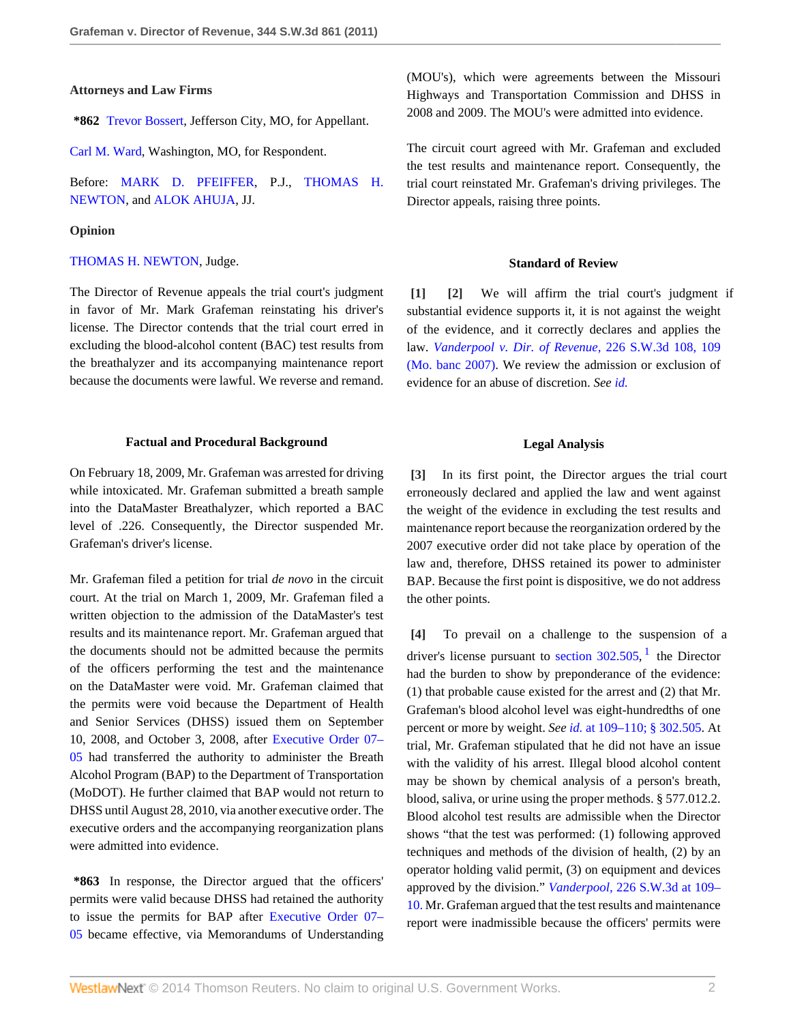### **Attorneys and Law Firms**

**\*862** [Trevor Bossert](http://www.westlaw.com/Link/Document/FullText?findType=h&pubNum=176284&cite=0307295101&originatingDoc=I570ed5d890e711e0a34df17ea74c323f&refType=RQ&originationContext=document&vr=3.0&rs=cblt1.0&transitionType=DocumentItem&contextData=(sc.Search)), Jefferson City, MO, for Appellant.

[Carl M. Ward,](http://www.westlaw.com/Link/Document/FullText?findType=h&pubNum=176284&cite=0289418701&originatingDoc=I570ed5d890e711e0a34df17ea74c323f&refType=RQ&originationContext=document&vr=3.0&rs=cblt1.0&transitionType=DocumentItem&contextData=(sc.Search)) Washington, MO, for Respondent.

Before: [MARK D. PFEIFFER,](http://www.westlaw.com/Link/Document/FullText?findType=h&pubNum=176284&cite=0105881801&originatingDoc=I570ed5d890e711e0a34df17ea74c323f&refType=RQ&originationContext=document&vr=3.0&rs=cblt1.0&transitionType=DocumentItem&contextData=(sc.Search)) P.J., [THOMAS H.](http://www.westlaw.com/Link/Document/FullText?findType=h&pubNum=176284&cite=0155962901&originatingDoc=I570ed5d890e711e0a34df17ea74c323f&refType=RQ&originationContext=document&vr=3.0&rs=cblt1.0&transitionType=DocumentItem&contextData=(sc.Search)) [NEWTON](http://www.westlaw.com/Link/Document/FullText?findType=h&pubNum=176284&cite=0155962901&originatingDoc=I570ed5d890e711e0a34df17ea74c323f&refType=RQ&originationContext=document&vr=3.0&rs=cblt1.0&transitionType=DocumentItem&contextData=(sc.Search)), and [ALOK AHUJA](http://www.westlaw.com/Link/Document/FullText?findType=h&pubNum=176284&cite=0164642601&originatingDoc=I570ed5d890e711e0a34df17ea74c323f&refType=RQ&originationContext=document&vr=3.0&rs=cblt1.0&transitionType=DocumentItem&contextData=(sc.Search)), JJ.

#### **Opinion**

### [THOMAS H. NEWTON](http://www.westlaw.com/Link/Document/FullText?findType=h&pubNum=176284&cite=0155962901&originatingDoc=I570ed5d890e711e0a34df17ea74c323f&refType=RQ&originationContext=document&vr=3.0&rs=cblt1.0&transitionType=DocumentItem&contextData=(sc.Search)), Judge.

The Director of Revenue appeals the trial court's judgment in favor of Mr. Mark Grafeman reinstating his driver's license. The Director contends that the trial court erred in excluding the blood-alcohol content (BAC) test results from the breathalyzer and its accompanying maintenance report because the documents were lawful. We reverse and remand.

#### **Factual and Procedural Background**

On February 18, 2009, Mr. Grafeman was arrested for driving while intoxicated. Mr. Grafeman submitted a breath sample into the DataMaster Breathalyzer, which reported a BAC level of .226. Consequently, the Director suspended Mr. Grafeman's driver's license.

Mr. Grafeman filed a petition for trial *de novo* in the circuit court. At the trial on March 1, 2009, Mr. Grafeman filed a written objection to the admission of the DataMaster's test results and its maintenance report. Mr. Grafeman argued that the documents should not be admitted because the permits of the officers performing the test and the maintenance on the DataMaster were void. Mr. Grafeman claimed that the permits were void because the Department of Health and Senior Services (DHSS) issued them on September 10, 2008, and October 3, 2008, after [Executive Order 07–](http://www.westlaw.com/Link/Document/FullText?findType=Y&cite=EXECORDERNO07-05&originationContext=document&vr=3.0&rs=cblt1.0&transitionType=DocumentItem&contextData=(sc.Search)) [05](http://www.westlaw.com/Link/Document/FullText?findType=Y&cite=EXECORDERNO07-05&originationContext=document&vr=3.0&rs=cblt1.0&transitionType=DocumentItem&contextData=(sc.Search)) had transferred the authority to administer the Breath Alcohol Program (BAP) to the Department of Transportation (MoDOT). He further claimed that BAP would not return to DHSS until August 28, 2010, via another executive order. The executive orders and the accompanying reorganization plans were admitted into evidence.

**\*863** In response, the Director argued that the officers' permits were valid because DHSS had retained the authority to issue the permits for BAP after [Executive Order 07–](http://www.westlaw.com/Link/Document/FullText?findType=Y&cite=EXECORDERNO07-05&originationContext=document&vr=3.0&rs=cblt1.0&transitionType=DocumentItem&contextData=(sc.Search)) [05](http://www.westlaw.com/Link/Document/FullText?findType=Y&cite=EXECORDERNO07-05&originationContext=document&vr=3.0&rs=cblt1.0&transitionType=DocumentItem&contextData=(sc.Search)) became effective, via Memorandums of Understanding (MOU's), which were agreements between the Missouri Highways and Transportation Commission and DHSS in 2008 and 2009. The MOU's were admitted into evidence.

The circuit court agreed with Mr. Grafeman and excluded the test results and maintenance report. Consequently, the trial court reinstated Mr. Grafeman's driving privileges. The Director appeals, raising three points.

### <span id="page-1-1"></span>**Standard of Review**

<span id="page-1-0"></span>**[\[1\]](#page-0-1) [\[2](#page-0-2)]** We will affirm the trial court's judgment if substantial evidence supports it, it is not against the weight of the evidence, and it correctly declares and applies the law. *[Vanderpool v. Dir. of Revenue,](http://www.westlaw.com/Link/Document/FullText?findType=Y&serNum=2012354023&pubNum=4644&fi=co_pp_sp_4644_109&originationContext=document&vr=3.0&rs=cblt1.0&transitionType=DocumentItem&contextData=(sc.Search)#co_pp_sp_4644_109)* 226 S.W.3d 108, 109 [\(Mo. banc 2007\).](http://www.westlaw.com/Link/Document/FullText?findType=Y&serNum=2012354023&pubNum=4644&fi=co_pp_sp_4644_109&originationContext=document&vr=3.0&rs=cblt1.0&transitionType=DocumentItem&contextData=(sc.Search)#co_pp_sp_4644_109) We review the admission or exclusion of evidence for an abuse of discretion. *See [id.](http://www.westlaw.com/Link/Document/FullText?findType=Y&serNum=2012354023&originationContext=document&vr=3.0&rs=cblt1.0&transitionType=DocumentItem&contextData=(sc.Search))*

#### <span id="page-1-4"></span>**Legal Analysis**

<span id="page-1-2"></span>**[\[3\]](#page-0-0)** In its first point, the Director argues the trial court erroneously declared and applied the law and went against the weight of the evidence in excluding the test results and maintenance report because the reorganization ordered by the 2007 executive order did not take place by operation of the law and, therefore, DHSS retained its power to administer BAP. Because the first point is dispositive, we do not address the other points.

<span id="page-1-3"></span>**[\[4\]](#page-0-3)** To prevail on a challenge to the suspension of a driver's license pursuant to section  $302.505$ , <sup>[1](#page-2-0)</sup> the Director had the burden to show by preponderance of the evidence: (1) that probable cause existed for the arrest and (2) that Mr. Grafeman's blood alcohol level was eight-hundredths of one percent or more by weight. *See id.* [at 109–110;](http://www.westlaw.com/Link/Document/FullText?findType=Y&serNum=2012354023&originationContext=document&vr=3.0&rs=cblt1.0&transitionType=DocumentItem&contextData=(sc.Search)) [§ 302.505](http://www.westlaw.com/Link/Document/FullText?findType=L&pubNum=1000229&cite=MOST302.505&originatingDoc=I570ed5d890e711e0a34df17ea74c323f&refType=LQ&originationContext=document&vr=3.0&rs=cblt1.0&transitionType=DocumentItem&contextData=(sc.Search)). At trial, Mr. Grafeman stipulated that he did not have an issue with the validity of his arrest. Illegal blood alcohol content may be shown by chemical analysis of a person's breath, blood, saliva, or urine using the proper methods. § 577.012.2. Blood alcohol test results are admissible when the Director shows "that the test was performed: (1) following approved techniques and methods of the division of health, (2) by an operator holding valid permit, (3) on equipment and devices approved by the division." *Vanderpool,* [226 S.W.3d at 109–](http://www.westlaw.com/Link/Document/FullText?findType=Y&serNum=2012354023&pubNum=4644&fi=co_pp_sp_4644_109&originationContext=document&vr=3.0&rs=cblt1.0&transitionType=DocumentItem&contextData=(sc.Search)#co_pp_sp_4644_109) [10.](http://www.westlaw.com/Link/Document/FullText?findType=Y&serNum=2012354023&pubNum=4644&fi=co_pp_sp_4644_109&originationContext=document&vr=3.0&rs=cblt1.0&transitionType=DocumentItem&contextData=(sc.Search)#co_pp_sp_4644_109) Mr. Grafeman argued that the test results and maintenance report were inadmissible because the officers' permits were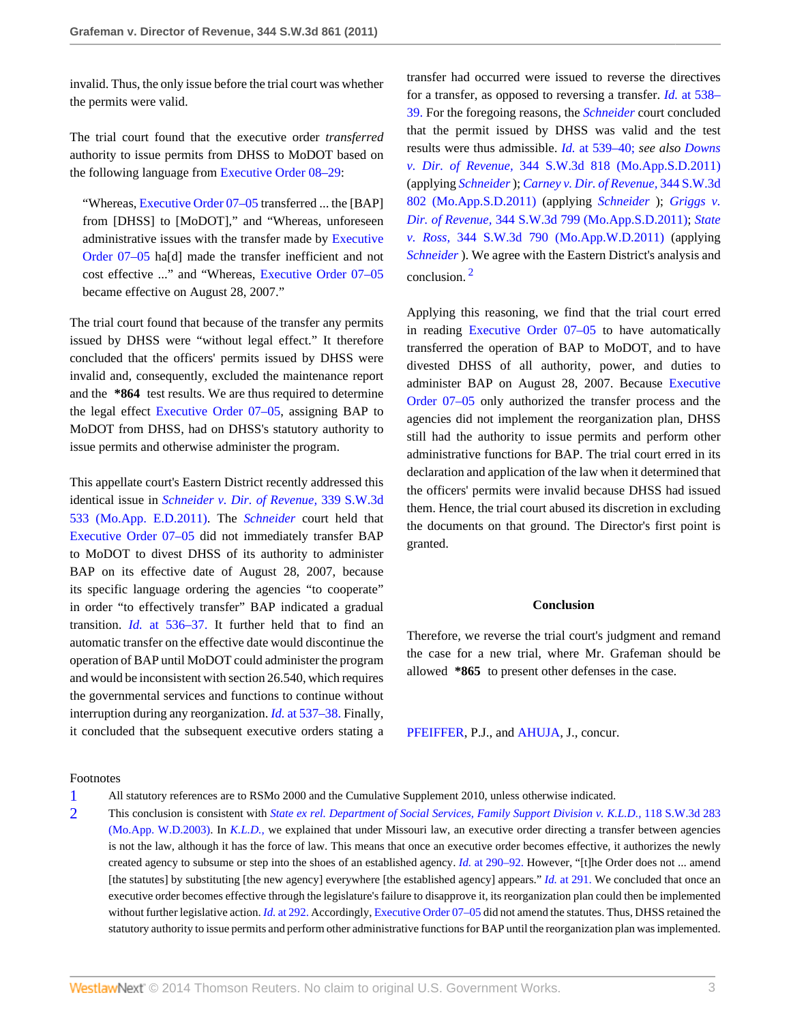invalid. Thus, the only issue before the trial court was whether the permits were valid.

The trial court found that the executive order *transferred* authority to issue permits from DHSS to MoDOT based on the following language from [Executive Order 08–29:](http://www.westlaw.com/Link/Document/FullText?findType=Y&cite=EXECORDERNO08-29&originationContext=document&vr=3.0&rs=cblt1.0&transitionType=DocumentItem&contextData=(sc.Search))

"Whereas, [Executive Order 07–05](http://www.westlaw.com/Link/Document/FullText?findType=Y&cite=EXECORDERNO07-05&originationContext=document&vr=3.0&rs=cblt1.0&transitionType=DocumentItem&contextData=(sc.Search)) transferred ... the [BAP] from [DHSS] to [MoDOT]," and "Whereas, unforeseen administrative issues with the transfer made by [Executive](http://www.westlaw.com/Link/Document/FullText?findType=Y&cite=EXECORDERNO07-05&originationContext=document&vr=3.0&rs=cblt1.0&transitionType=DocumentItem&contextData=(sc.Search)) [Order 07–05](http://www.westlaw.com/Link/Document/FullText?findType=Y&cite=EXECORDERNO07-05&originationContext=document&vr=3.0&rs=cblt1.0&transitionType=DocumentItem&contextData=(sc.Search)) ha[d] made the transfer inefficient and not cost effective ..." and "Whereas, [Executive Order 07–05](http://www.westlaw.com/Link/Document/FullText?findType=Y&cite=EXECORDERNO07-05&originationContext=document&vr=3.0&rs=cblt1.0&transitionType=DocumentItem&contextData=(sc.Search)) became effective on August 28, 2007."

The trial court found that because of the transfer any permits issued by DHSS were "without legal effect." It therefore concluded that the officers' permits issued by DHSS were invalid and, consequently, excluded the maintenance report and the **\*864** test results. We are thus required to determine the legal effect [Executive Order 07–05](http://www.westlaw.com/Link/Document/FullText?findType=Y&cite=EXECORDERNO07-05&originationContext=document&vr=3.0&rs=cblt1.0&transitionType=DocumentItem&contextData=(sc.Search)), assigning BAP to MoDOT from DHSS, had on DHSS's statutory authority to issue permits and otherwise administer the program.

This appellate court's Eastern District recently addressed this identical issue in *[Schneider v. Dir. of Revenue,](http://www.westlaw.com/Link/Document/FullText?findType=Y&serNum=2025147908&pubNum=4644&originationContext=document&vr=3.0&rs=cblt1.0&transitionType=DocumentItem&contextData=(sc.Search))* 339 S.W.3d [533 \(Mo.App. E.D.2011\)](http://www.westlaw.com/Link/Document/FullText?findType=Y&serNum=2025147908&pubNum=4644&originationContext=document&vr=3.0&rs=cblt1.0&transitionType=DocumentItem&contextData=(sc.Search)). The *[Schneider](http://www.westlaw.com/Link/Document/FullText?findType=Y&serNum=2025147908&originationContext=document&vr=3.0&rs=cblt1.0&transitionType=DocumentItem&contextData=(sc.Search))* court held that [Executive Order 07–05](http://www.westlaw.com/Link/Document/FullText?findType=Y&cite=EXECORDERNO07-05&originationContext=document&vr=3.0&rs=cblt1.0&transitionType=DocumentItem&contextData=(sc.Search)) did not immediately transfer BAP to MoDOT to divest DHSS of its authority to administer BAP on its effective date of August 28, 2007, because its specific language ordering the agencies "to cooperate" in order "to effectively transfer" BAP indicated a gradual transition. *Id.* [at 536–37.](http://www.westlaw.com/Link/Document/FullText?findType=Y&serNum=2025147908&originationContext=document&vr=3.0&rs=cblt1.0&transitionType=DocumentItem&contextData=(sc.Search)) It further held that to find an automatic transfer on the effective date would discontinue the operation of BAP until MoDOT could administer the program and would be inconsistent with section 26.540, which requires the governmental services and functions to continue without interruption during any reorganization. *Id.* [at 537–38.](http://www.westlaw.com/Link/Document/FullText?findType=Y&serNum=2025147908&originationContext=document&vr=3.0&rs=cblt1.0&transitionType=DocumentItem&contextData=(sc.Search)) Finally, it concluded that the subsequent executive orders stating a

transfer had occurred were issued to reverse the directives for a transfer, as opposed to reversing a transfer. *Id.* [at 538–](http://www.westlaw.com/Link/Document/FullText?findType=Y&serNum=2025147908&originationContext=document&vr=3.0&rs=cblt1.0&transitionType=DocumentItem&contextData=(sc.Search)) [39.](http://www.westlaw.com/Link/Document/FullText?findType=Y&serNum=2025147908&originationContext=document&vr=3.0&rs=cblt1.0&transitionType=DocumentItem&contextData=(sc.Search)) For the foregoing reasons, the *[Schneider](http://www.westlaw.com/Link/Document/FullText?findType=Y&serNum=2025147908&originationContext=document&vr=3.0&rs=cblt1.0&transitionType=DocumentItem&contextData=(sc.Search))* court concluded that the permit issued by DHSS was valid and the test results were thus admissible. *Id.* [at 539–40;](http://www.westlaw.com/Link/Document/FullText?findType=Y&serNum=2025147908&originationContext=document&vr=3.0&rs=cblt1.0&transitionType=DocumentItem&contextData=(sc.Search)) *see also [Downs](http://www.westlaw.com/Link/Document/FullText?findType=Y&serNum=2025353697&pubNum=4644&originationContext=document&vr=3.0&rs=cblt1.0&transitionType=DocumentItem&contextData=(sc.Search)) v. Dir. of Revenue,* [344 S.W.3d 818 \(Mo.App.S.D.2011\)](http://www.westlaw.com/Link/Document/FullText?findType=Y&serNum=2025353697&pubNum=4644&originationContext=document&vr=3.0&rs=cblt1.0&transitionType=DocumentItem&contextData=(sc.Search)) (applying *[Schneider](http://www.westlaw.com/Link/Document/FullText?findType=Y&serNum=2025147908&originationContext=document&vr=3.0&rs=cblt1.0&transitionType=DocumentItem&contextData=(sc.Search))* ); *[Carney v. Dir. of Revenue,](http://www.westlaw.com/Link/Document/FullText?findType=Y&serNum=2025335488&pubNum=4644&originationContext=document&vr=3.0&rs=cblt1.0&transitionType=DocumentItem&contextData=(sc.Search))* 344 S.W.3d [802 \(Mo.App.S.D.2011\)](http://www.westlaw.com/Link/Document/FullText?findType=Y&serNum=2025335488&pubNum=4644&originationContext=document&vr=3.0&rs=cblt1.0&transitionType=DocumentItem&contextData=(sc.Search)) (applying *[Schneider](http://www.westlaw.com/Link/Document/FullText?findType=Y&serNum=2025147908&originationContext=document&vr=3.0&rs=cblt1.0&transitionType=DocumentItem&contextData=(sc.Search))* ); *[Griggs v.](http://www.westlaw.com/Link/Document/FullText?findType=Y&serNum=2025330671&pubNum=4644&originationContext=document&vr=3.0&rs=cblt1.0&transitionType=DocumentItem&contextData=(sc.Search)) Dir. of Revenue,* [344 S.W.3d 799 \(Mo.App.S.D.2011\)](http://www.westlaw.com/Link/Document/FullText?findType=Y&serNum=2025330671&pubNum=4644&originationContext=document&vr=3.0&rs=cblt1.0&transitionType=DocumentItem&contextData=(sc.Search)); *[State](http://www.westlaw.com/Link/Document/FullText?findType=Y&serNum=2025294572&pubNum=4644&originationContext=document&vr=3.0&rs=cblt1.0&transitionType=DocumentItem&contextData=(sc.Search)) v. Ross,* [344 S.W.3d 790 \(Mo.App.W.D.2011\)](http://www.westlaw.com/Link/Document/FullText?findType=Y&serNum=2025294572&pubNum=4644&originationContext=document&vr=3.0&rs=cblt1.0&transitionType=DocumentItem&contextData=(sc.Search)) (applying *[Schneider](http://www.westlaw.com/Link/Document/FullText?findType=Y&serNum=2025147908&originationContext=document&vr=3.0&rs=cblt1.0&transitionType=DocumentItem&contextData=(sc.Search))* ). We agree with the Eastern District's analysis and conclusion. [2](#page-2-1)

<span id="page-2-2"></span>Applying this reasoning, we find that the trial court erred in reading [Executive Order 07–05](http://www.westlaw.com/Link/Document/FullText?findType=Y&cite=EXECORDERNO07-05&originationContext=document&vr=3.0&rs=cblt1.0&transitionType=DocumentItem&contextData=(sc.Search)) to have automatically transferred the operation of BAP to MoDOT, and to have divested DHSS of all authority, power, and duties to administer BAP on August 28, 2007. Because [Executive](http://www.westlaw.com/Link/Document/FullText?findType=Y&cite=EXECORDERNO07-05&originationContext=document&vr=3.0&rs=cblt1.0&transitionType=DocumentItem&contextData=(sc.Search)) [Order 07–05](http://www.westlaw.com/Link/Document/FullText?findType=Y&cite=EXECORDERNO07-05&originationContext=document&vr=3.0&rs=cblt1.0&transitionType=DocumentItem&contextData=(sc.Search)) only authorized the transfer process and the agencies did not implement the reorganization plan, DHSS still had the authority to issue permits and perform other administrative functions for BAP. The trial court erred in its declaration and application of the law when it determined that the officers' permits were invalid because DHSS had issued them. Hence, the trial court abused its discretion in excluding the documents on that ground. The Director's first point is granted.

# **Conclusion**

Therefore, we reverse the trial court's judgment and remand the case for a new trial, where Mr. Grafeman should be allowed **\*865** to present other defenses in the case.

[PFEIFFER](http://www.westlaw.com/Link/Document/FullText?findType=h&pubNum=176284&cite=0105881801&originatingDoc=I570ed5d890e711e0a34df17ea74c323f&refType=RQ&originationContext=document&vr=3.0&rs=cblt1.0&transitionType=DocumentItem&contextData=(sc.Search)), P.J., and [AHUJA,](http://www.westlaw.com/Link/Document/FullText?findType=h&pubNum=176284&cite=0164642601&originatingDoc=I570ed5d890e711e0a34df17ea74c323f&refType=RQ&originationContext=document&vr=3.0&rs=cblt1.0&transitionType=DocumentItem&contextData=(sc.Search)) J., concur.

### Footnotes

<span id="page-2-1"></span>[2](#page-2-2) This conclusion is consistent with *[State ex rel. Department of Social Services, Family Support Division v. K.L.D.,](http://www.westlaw.com/Link/Document/FullText?findType=Y&serNum=2003728263&pubNum=4644&originationContext=document&vr=3.0&rs=cblt1.0&transitionType=DocumentItem&contextData=(sc.Search))* 118 S.W.3d 283 [\(Mo.App. W.D.2003\).](http://www.westlaw.com/Link/Document/FullText?findType=Y&serNum=2003728263&pubNum=4644&originationContext=document&vr=3.0&rs=cblt1.0&transitionType=DocumentItem&contextData=(sc.Search)) In *[K.L.D.,](http://www.westlaw.com/Link/Document/FullText?findType=Y&serNum=2003728263&originationContext=document&vr=3.0&rs=cblt1.0&transitionType=DocumentItem&contextData=(sc.Search))* we explained that under Missouri law, an executive order directing a transfer between agencies is not the law, although it has the force of law. This means that once an executive order becomes effective, it authorizes the newly created agency to subsume or step into the shoes of an established agency. *Id.* [at 290–92.](http://www.westlaw.com/Link/Document/FullText?findType=Y&serNum=2003728263&originationContext=document&vr=3.0&rs=cblt1.0&transitionType=DocumentItem&contextData=(sc.Search)) However, "[t]he Order does not ... amend [the statutes] by substituting [the new agency] everywhere [the established agency] appears." *Id.* [at 291.](http://www.westlaw.com/Link/Document/FullText?findType=Y&serNum=2003728263&originationContext=document&vr=3.0&rs=cblt1.0&transitionType=DocumentItem&contextData=(sc.Search)) We concluded that once an executive order becomes effective through the legislature's failure to disapprove it, its reorganization plan could then be implemented without further legislative action. *Id.* [at 292.](http://www.westlaw.com/Link/Document/FullText?findType=Y&serNum=2003728263&originationContext=document&vr=3.0&rs=cblt1.0&transitionType=DocumentItem&contextData=(sc.Search)) Accordingly, Executive Order 07-05 did not amend the statutes. Thus, DHSS retained the statutory authority to issue permits and perform other administrative functions for BAP until the reorganization plan was implemented.

<span id="page-2-0"></span>[<sup>1</sup>](#page-1-4) All statutory references are to RSMo 2000 and the Cumulative Supplement 2010, unless otherwise indicated.